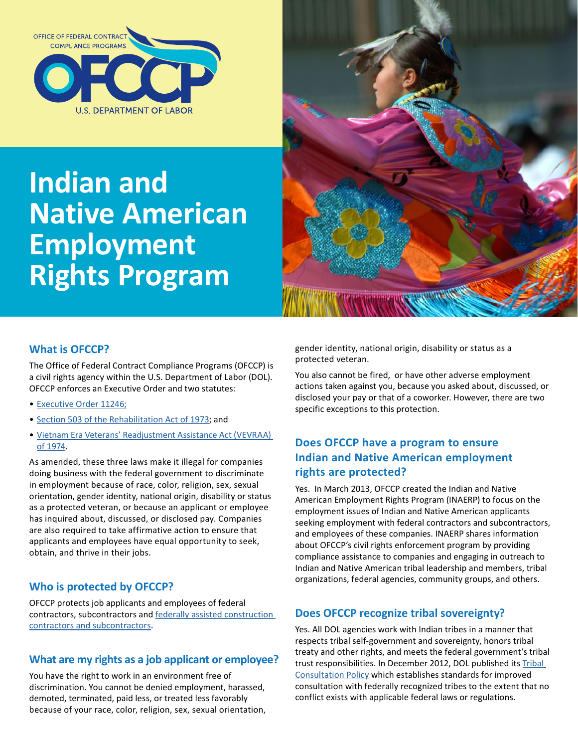

# **Indian and Native American Employment Rights Program**



### **What is OFCCP?**

The Office of Federal Contract Compliance Programs (OFCCP) is a civil rights agency within the U.S. Department of Labor (DOL). OFCCP enforces an Executive Order and two statutes:

- [Executive Order 11246;](https://www.dol.gov/ofccp/regs/compliance/ca_11246.htm)
- [Section 503 of the Rehabilitation Act of 1973;](https://www.dol.gov/ofccp/regs/compliance/section503.htm) and
- [Vietnam Era Veterans' Readjustment Assistance Act \(VEVRAA\)](https://www.dol.gov/ofccp/regs/compliance/vevraa.htm)  [of 1974](https://www.dol.gov/ofccp/regs/compliance/vevraa.htm).

As amended, these three laws make it illegal for companies doing business with the federal government to discriminate in employment because of race, color, religion, sex, sexual orientation, gender identity, national origin, disability or status as a protected veteran, or because an applicant or employee has inquired about, discussed, or disclosed pay. Companies are also required to take affirmative action to ensure that applicants and employees have equal opportunity to seek, obtain, and thrive in their jobs.

### **Who is protected by OFCCP?**

OFCCP protects job applicants and employees of federal contractors, subcontractors and [federally assisted construction](https://www.dol.gov/ofccp/posters/Infographics/JurisdictionalThresholds.htm)  [contractors and subcontractors.](https://www.dol.gov/ofccp/posters/Infographics/JurisdictionalThresholds.htm)

#### **What are my rights as a job applicant or employee?**

You have the right to work in an environment free of discrimination. You cannot be denied employment, harassed, demoted, terminated, paid less, or treated less favorably because of your race, color, religion, sex, sexual orientation, gender identity, national origin, disability or status as a protected veteran.

You also cannot be fired, or have other adverse employment actions taken against you, because you asked about, discussed, or disclosed your pay or that of a coworker. However, there are two specific exceptions to this protection.

#### **Does OFCCP have a program to ensure Indian and Native American employment rights are protected?**

Yes. In March 2013, OFCCP created the Indian and Native American Employment Rights Program (INAERP) to focus on the employment issues of Indian and Native American applicants seeking employment with federal contractors and subcontractors, and employees of these companies. INAERP shares information about OFCCP's civil rights enforcement program by providing compliance assistance to companies and engaging in outreach to Indian and Native American tribal leadership and members, tribal organizations, federal agencies, community groups, and others.

### **Does OFCCP recognize tribal sovereignty?**

Yes. All DOL agencies work with Indian tribes in a manner that respects tribal self-government and sovereignty, honors tribal treaty and other rights, and meets the federal government's tribal trust responsibilities. In December 2012, DOL published its [Tribal](https://www.dol.gov/ope/tribal-consultation-policy.htm)  [Consultation Policy](https://www.dol.gov/ope/tribal-consultation-policy.htm) which establishes standards for improved consultation with federally recognized tribes to the extent that no conflict exists with applicable federal laws or regulations.